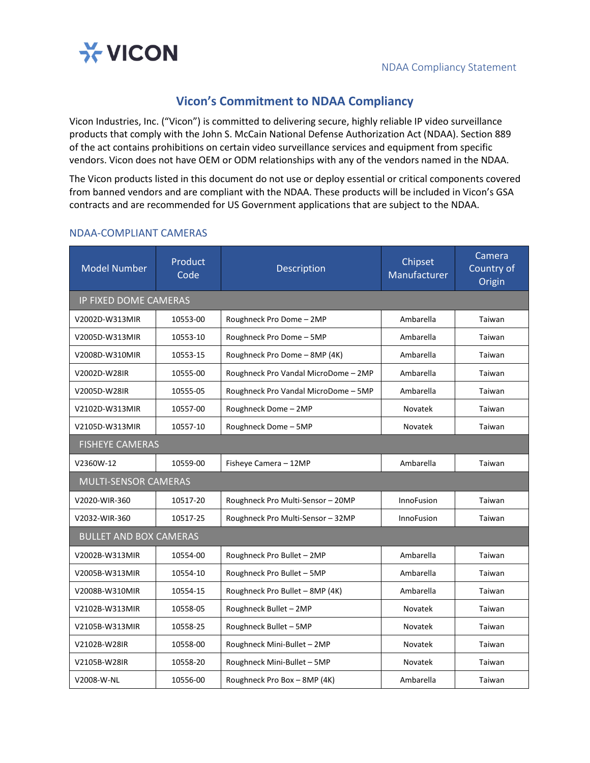

## **Vicon's Commitment to NDAA Compliancy**

Vicon Industries, Inc. ("Vicon") is committed to delivering secure, highly reliable IP video surveillance products that comply with the John S. McCain National Defense Authorization Act (NDAA). Section 889 of the act contains prohibitions on certain video surveillance services and equipment from specific vendors. Vicon does not have OEM or ODM relationships with any of the vendors named in the NDAA.

The Vicon products listed in this document do not use or deploy essential or critical components covered from banned vendors and are compliant with the NDAA. These products will be included in Vicon's GSA contracts and are recommended for US Government applications that are subject to the NDAA.

| <b>Model Number</b>           | Product<br>Code | Description                          | Chipset<br>Manufacturer | Camera<br>Country of<br>Origin |  |  |  |
|-------------------------------|-----------------|--------------------------------------|-------------------------|--------------------------------|--|--|--|
| <b>IP FIXED DOME CAMERAS</b>  |                 |                                      |                         |                                |  |  |  |
| V2002D-W313MIR                | 10553-00        | Roughneck Pro Dome - 2MP             | Ambarella               | Taiwan                         |  |  |  |
| V2005D-W313MIR                | 10553-10        | Roughneck Pro Dome - 5MP             | Ambarella               | Taiwan                         |  |  |  |
| V2008D-W310MIR                | 10553-15        | Roughneck Pro Dome - 8MP (4K)        | Ambarella               | Taiwan                         |  |  |  |
| V2002D-W28IR                  | 10555-00        | Roughneck Pro Vandal MicroDome - 2MP | Ambarella               | Taiwan                         |  |  |  |
| V2005D-W28IR                  | 10555-05        | Roughneck Pro Vandal MicroDome - 5MP | Ambarella               | Taiwan                         |  |  |  |
| V2102D-W313MIR                | 10557-00        | Roughneck Dome - 2MP                 | <b>Novatek</b>          | Taiwan                         |  |  |  |
| V2105D-W313MIR                | 10557-10        | Roughneck Dome - 5MP                 | Novatek                 | Taiwan                         |  |  |  |
| <b>FISHEYE CAMERAS</b>        |                 |                                      |                         |                                |  |  |  |
| V2360W-12                     | 10559-00        | Fisheye Camera - 12MP                | Ambarella               | Taiwan                         |  |  |  |
| <b>MULTI-SENSOR CAMERAS</b>   |                 |                                      |                         |                                |  |  |  |
| V2020-WIR-360                 | 10517-20        | Roughneck Pro Multi-Sensor - 20MP    | <b>InnoFusion</b>       | Taiwan                         |  |  |  |
| V2032-WIR-360                 | 10517-25        | Roughneck Pro Multi-Sensor - 32MP    | <b>InnoFusion</b>       | Taiwan                         |  |  |  |
| <b>BULLET AND BOX CAMERAS</b> |                 |                                      |                         |                                |  |  |  |
| V2002B-W313MIR                | 10554-00        | Roughneck Pro Bullet - 2MP           | Ambarella               | Taiwan                         |  |  |  |
| V2005B-W313MIR                | 10554-10        | Roughneck Pro Bullet - 5MP           | Ambarella               | Taiwan                         |  |  |  |
| V2008B-W310MIR                | 10554-15        | Roughneck Pro Bullet - 8MP (4K)      | Ambarella               | Taiwan                         |  |  |  |
| V2102B-W313MIR                | 10558-05        | Roughneck Bullet - 2MP               | Novatek                 | Taiwan                         |  |  |  |
| V2105B-W313MIR                | 10558-25        | Roughneck Bullet - 5MP               | <b>Novatek</b>          | Taiwan                         |  |  |  |
| V2102B-W28IR                  | 10558-00        | Roughneck Mini-Bullet - 2MP          | Novatek                 | Taiwan                         |  |  |  |
| V2105B-W28IR                  | 10558-20        | Roughneck Mini-Bullet - 5MP          | Novatek                 | Taiwan                         |  |  |  |
| V2008-W-NL                    | 10556-00        | Roughneck Pro Box - 8MP (4K)         | Ambarella               | Taiwan                         |  |  |  |

## NDAA-COMPLIANT CAMERAS